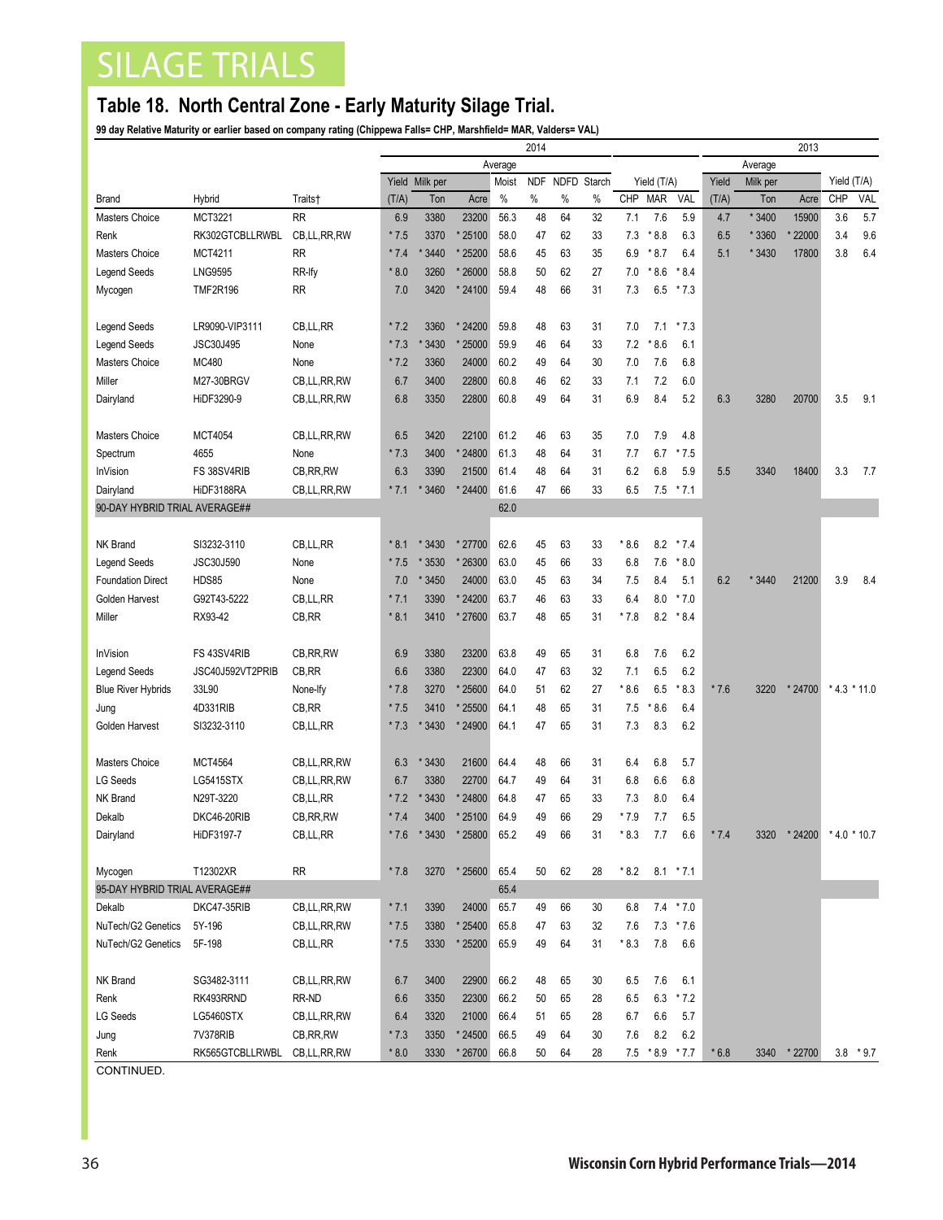## SILAGE TRIALS

## **Table 18. North Central Zone - Early Maturity Silage Trial.**

**99 day Relative Maturity or earlier based on company rating (Chippewa Falls= CHP, Marshfield= MAR, Valders= VAL)**

|                               |                  |                | 2014    |                |          |       |            |             |        |        |                 |               | 2013    |          |              |                  |             |
|-------------------------------|------------------|----------------|---------|----------------|----------|-------|------------|-------------|--------|--------|-----------------|---------------|---------|----------|--------------|------------------|-------------|
|                               |                  |                | Average |                |          |       |            |             |        |        |                 |               | Average |          |              |                  |             |
|                               |                  |                |         | Yield Milk per |          | Moist | <b>NDF</b> | <b>NDFD</b> | Starch |        | Yield (T/A)     |               | Yield   | Milk per |              | Yield (T/A)      |             |
| <b>Brand</b>                  | Hybrid           | Traits†        | (T/A)   | Ton            | Acre     | $\%$  | $\%$       | $\%$        | $\%$   | CHP    | <b>MAR</b>      | VAL           | (T/A)   | Ton      | Acre         | <b>CHP</b>       | <b>VAL</b>  |
| Masters Choice                | <b>MCT3221</b>   | <b>RR</b>      | 6.9     | 3380           | 23200    | 56.3  | 48         | 64          | 32     | 7.1    | 7.6             | 5.9           | 4.7     | * 3400   | 15900        | 3.6              | 5.7         |
| Renk                          | RK302GTCBLLRWBL  | CB, LL, RR, RW | $*7.5$  | 3370           | * 25100  | 58.0  | 47         | 62          | 33     | 7.3    | $*8.8$          | 6.3           | 6.5     | * 3360   | 22000        | 3.4              | 9.6         |
| Masters Choice                | <b>MCT4211</b>   | <b>RR</b>      | $*7.4$  | 3440           | * 25200  | 58.6  | 45         | 63          | 35     | 6.9    | $*8.7$          | 6.4           | 5.1     | * 3430   | 17800        | 3.8              | 6.4         |
| <b>Legend Seeds</b>           | <b>LNG9595</b>   | RR-Ify         | $*8.0$  | 3260           | * 26000  | 58.8  | 50         | 62          | 27     | 7.0    | $*8.6$          | $*8.4$        |         |          |              |                  |             |
| Mycogen                       | <b>TMF2R196</b>  | <b>RR</b>      | 7.0     | 3420           | * 24100  | 59.4  | 48         | 66          | 31     | 7.3    |                 | $6.5$ * 7.3   |         |          |              |                  |             |
|                               |                  |                |         |                |          |       |            |             |        |        |                 |               |         |          |              |                  |             |
| <b>Legend Seeds</b>           | LR9090-VIP3111   | CB, LL, RR     | $*7.2$  | 3360           | * 24200  | 59.8  | 48         | 63          | 31     | 7.0    | 7.1             | $*7.3$        |         |          |              |                  |             |
| Legend Seeds                  | JSC30J495        | None           | $*7.3$  | 3430           | * 25000  | 59.9  | 46         | 64          | 33     | 7.2    | $*8.6$          | 6.1           |         |          |              |                  |             |
| Masters Choice                | MC480            | None           | $*7.2$  | 3360           | 24000    | 60.2  | 49         | 64          | 30     | 7.0    | 7.6             | 6.8           |         |          |              |                  |             |
| Miller                        | M27-30BRGV       | CB,LL,RR,RW    | 6.7     | 3400           | 22800    | 60.8  | 46         | 62          | 33     | 7.1    | 7.2             | 6.0           |         |          |              |                  |             |
| Dairyland                     | HiDF3290-9       | CB,LL,RR,RW    | 6.8     | 3350           | 22800    | 60.8  | 49         | 64          | 31     | 6.9    | 8.4             | 5.2           | 6.3     | 3280     | 20700        | 3.5              | 9.1         |
|                               |                  |                |         |                |          |       |            |             |        |        |                 |               |         |          |              |                  |             |
| Masters Choice                | <b>MCT4054</b>   | CB,LL,RR,RW    | 6.5     | 3420           | 22100    | 61.2  | 46         | 63          | 35     | 7.0    | 7.9             | 4.8           |         |          |              |                  |             |
| Spectrum                      | 4655             | None           | $*7.3$  | 3400           | * 24800  | 61.3  | 48         | 64          | 31     | 7.7    | 6.7             | $*7.5$        |         |          |              |                  |             |
| <b>InVision</b>               | FS 38SV4RIB      | CB, RR, RW     | 6.3     | 3390           | 21500    | 61.4  | 48         | 64          | 31     | 6.2    | 6.8             | 5.9           | 5.5     | 3340     | 18400        | 3.3              | 7.7         |
| Dairyland                     | HiDF3188RA       | CB,LL,RR,RW    | $*7.1$  | 3460           | * 24400  | 61.6  | 47         | 66          | 33     | 6.5    |                 | $7.5$ * $7.1$ |         |          |              |                  |             |
| 90-DAY HYBRID TRIAL AVERAGE## |                  |                |         |                |          | 62.0  |            |             |        |        |                 |               |         |          |              |                  |             |
|                               |                  |                |         |                |          |       |            |             |        |        |                 |               |         |          |              |                  |             |
| <b>NK Brand</b>               | SI3232-3110      | CB,LL,RR       | $*8.1$  | * 3430         | * 27700  | 62.6  | 45         | 63          | 33     | $*8.6$ | 8.2             | $*7.4$        |         |          |              |                  |             |
| <b>Legend Seeds</b>           | JSC30J590        | None           | $*7.5$  | * 3530         | * 26300  | 63.0  | 45         | 66          | 33     | 6.8    | 7.6             | $*8.0$        |         |          |              |                  |             |
| <b>Foundation Direct</b>      | <b>HDS85</b>     | None           | 7.0     | * 3450         | 24000    | 63.0  | 45         | 63          | 34     | 7.5    | 8.4             | 5.1           | 6.2     | * 3440   | 21200        | 3.9              | 8.4         |
| Golden Harvest                | G92T43-5222      | CB,LL,RR       | $*7.1$  | 3390           | * 24200  | 63.7  | 46         | 63          | 33     | 6.4    | 8.0             | $*7.0$        |         |          |              |                  |             |
| Miller                        | RX93-42          | CB, RR         | $*8.1$  | 3410           | *27600   | 63.7  | 48         | 65          | 31     | $*7.8$ | 8.2             | $*8.4$        |         |          |              |                  |             |
|                               |                  |                |         |                |          |       |            |             |        |        |                 |               |         |          |              |                  |             |
| <b>InVision</b>               | FS 43SV4RIB      | CB, RR, RW     | 6.9     | 3380           | 23200    | 63.8  | 49         | 65          | 31     | 6.8    | 7.6             | 6.2           |         |          |              |                  |             |
| <b>Legend Seeds</b>           | JSC40J592VT2PRIB | CB, RR         | 6.6     | 3380           | 22300    | 64.0  | 47         | 63          | 32     | 7.1    | 6.5             | 6.2           |         |          |              |                  |             |
| <b>Blue River Hybrids</b>     | 33L90            | None-Ify       | $*7.8$  | 3270           | * 25600  | 64.0  | 51         | 62          | 27     | * 8.6  | 6.5             | * 8.3         | $*7.6$  | 3220     | * 24700      | $*$ 4.3 $*$ 11.0 |             |
| Jung                          | 4D331RIB         | CB, RR         | $*7.5$  | 3410           | * 25500  | 64.1  | 48         | 65          | 31     | 7.5    | $*8.6$          | 6.4           |         |          |              |                  |             |
| Golden Harvest                | SI3232-3110      | CB, LL, RR     | $*7.3$  | 3430           | * 24900  | 64.1  | 47         | 65          | 31     | 7.3    | 8.3             | 6.2           |         |          |              |                  |             |
|                               |                  |                |         |                |          |       |            |             |        |        |                 |               |         |          |              |                  |             |
| Masters Choice                | <b>MCT4564</b>   | CB,LL,RR,RW    | 6.3     | * 3430         | 21600    | 64.4  | 48         | 66          | 31     | 6.4    | 6.8             | 5.7           |         |          |              |                  |             |
| LG Seeds                      | <b>LG5415STX</b> | CB,LL,RR,RW    | 6.7     | 3380           | 22700    | 64.7  | 49         | 64          | 31     | 6.8    | 6.6             | 6.8           |         |          |              |                  |             |
| NK Brand                      | N29T-3220        | CB, LL, RR     | $*7.2$  | 3430           | * 24800  | 64.8  | 47         | 65          | 33     | 7.3    | 8.0             | 6.4           |         |          |              |                  |             |
| Dekalb                        | DKC46-20RIB      | CB, RR, RW     | $*7.4$  | 3400           | * 25100  | 64.9  | 49         | 66          | 29     | * 7.9  | 7.7             | 6.5           |         |          |              |                  |             |
| Dairyland                     | HiDF3197-7       | CB, LL, RR     | $*7.6$  | * 3430         | * 25800  | 65.2  | 49         | 66          | 31     | $*8.3$ | 7.7             | 6.6           | $*7.4$  | 3320     | * 24200      | $*4.0 * 10.7$    |             |
|                               |                  |                |         |                |          |       |            |             |        |        |                 |               |         |          |              |                  |             |
| Mycogen                       | T12302XR         | <b>RR</b>      | $*7.8$  | 3270           | $*25600$ | 65.4  | 50         | 62          | 28     | * 8.2  |                 | $8.1 * 7.1$   |         |          |              |                  |             |
| 95-DAY HYBRID TRIAL AVERAGE## |                  |                |         |                |          | 65.4  |            |             |        |        |                 |               |         |          |              |                  |             |
| Dekalb                        | DKC47-35RIB      | CB,LL,RR,RW    | $*7.1$  | 3390           | 24000    | 65.7  | 49         | 66          | 30     | 6.8    |                 | $7.4$ * $7.0$ |         |          |              |                  |             |
| NuTech/G2 Genetics            | 5Y-196           | CB,LL,RR,RW    | $*7.5$  | 3380           | * 25400  | 65.8  | 47         | 63          | 32     | 7.6    | 7.3             | $*7.6$        |         |          |              |                  |             |
| NuTech/G2 Genetics            | 5F-198           | CB,LL,RR       | $*7.5$  | 3330           | * 25200  | 65.9  | 49         | 64          | 31     | $*8.3$ | 7.8             | 6.6           |         |          |              |                  |             |
|                               |                  |                |         |                |          |       |            |             |        |        |                 |               |         |          |              |                  |             |
| NK Brand                      | SG3482-3111      | CB,LL,RR,RW    | 6.7     | 3400           | 22900    | 66.2  | 48         | 65          | 30     | 6.5    | 7.6             | 6.1           |         |          |              |                  |             |
| Renk                          | RK493RRND        | RR-ND          | 6.6     | 3350           | 22300    | 66.2  | 50         | 65          | 28     | 6.5    | 6.3             | $*7.2$        |         |          |              |                  |             |
| LG Seeds                      | <b>LG5460STX</b> | CB,LL,RR,RW    | 6.4     | 3320           | 21000    | 66.4  | 51         | 65          | 28     | 6.7    | 6.6             | 5.7           |         |          |              |                  |             |
| Jung                          | 7V378RIB         | CB, RR, RW     | $*7.3$  | 3350           | * 24500  | 66.5  | 49         | 64          | 30     | 7.6    | 8.2             | 6.2           |         |          |              |                  |             |
| Renk                          | RK565GTCBLLRWBL  | CB,LL,RR,RW    | $*8.0$  | 3330           | * 26700  | 66.8  | 50         | 64          | 28     |        | $7.5$ *8.9 *7.7 |               | $*6.8$  |          | 3340 * 22700 |                  | $3.8 * 9.7$ |
|                               |                  |                |         |                |          |       |            |             |        |        |                 |               |         |          |              |                  |             |

CONTINUED.